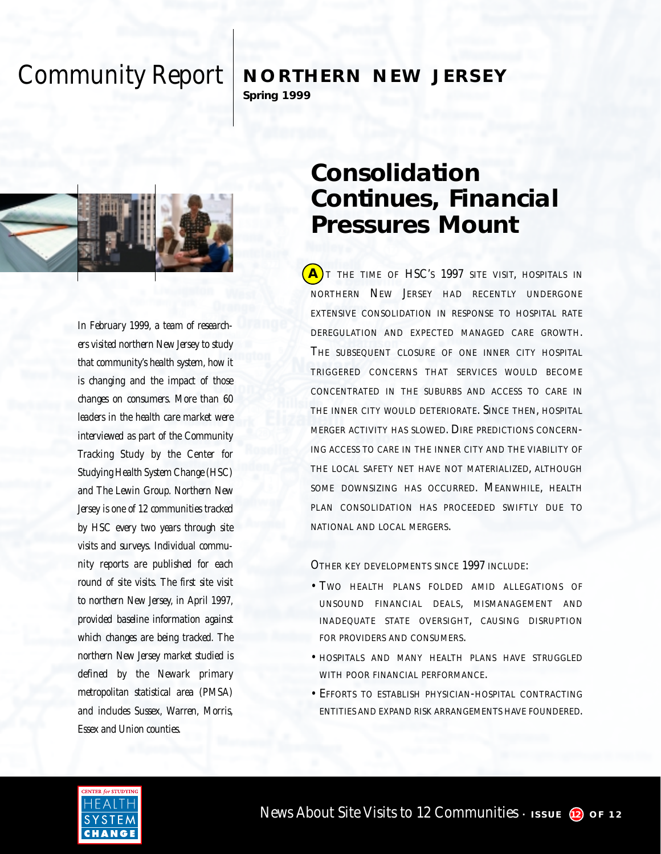# Community Report

### **NORTHERN NEW JERSEY Spring 1999**



*In February 1999, a team of researchers visited northern New Jersey to study that community's health system, how it is changing and the impact of those changes on consumers. More than 60 leaders in the health care market were interviewed as part of the Community Tracking Study by the Center for Studying Health System Change (HSC) and The Lewin Group. Northern New Jersey is one of 12 communities tracked by HSC every two years through site visits and surveys. Individual community reports are published for each round of site visits. The first site visit to northern New Jersey, in April 1997, provided baseline information against which changes are being tracked. The northern New Jersey market studied is defined by the Newark primary metropolitan statistical area (PMSA) and includes Sussex, Warren, Morris, Essex and Union counties.*

# **Consolidation Continues, Financial Pressures Mount**

A)<sup>T</sup> THE TIME OF HSC's 1997 SITE VISIT, HOSPITALS IN NORTHERN NEW JERSEY HAD RECENTLY UNDERGONE EXTENSIVE CONSOLIDATION IN RESPONSE TO HOSPITAL RATE DEREGULATION AND EXPECTED MANAGED CARE GROWTH. THE SUBSEQUENT CLOSURE OF ONE INNER CITY HOSPITAL TRIGGERED CONCERNS THAT SERVICES WOULD BECOME CONCENTRATED IN THE SUBURBS AND ACCESS TO CARE IN THE INNER CITY WOULD DETERIORATE. SINCE THEN, HOSPITAL MERGER ACTIVITY HAS SLOWED. DIRE PREDICTIONS CONCERN-ING ACCESS TO CARE IN THE INNER CITY AND THE VIABILITY OF THE LOCAL SAFETY NET HAVE NOT MATERIALIZED, ALTHOUGH SOME DOWNSIZING HAS OCCURRED. MEANWHILE, HEALTH PLAN CONSOLIDATION HAS PROCEEDED SWIFTLY DUE TO NATIONAL AND LOCAL MERGERS.

OTHER KEY DEVELOPMENTS SINCE 1997 INCLUDE:

- TWO HEALTH PLANS FOLDED AMID ALLEGATIONS OF UNSOUND FINANCIAL DEALS, MISMANAGEMENT AND INADEQUATE STATE OVERSIGHT, CAUSING DISRUPTION FOR PROVIDERS AND CONSUMERS.
- HOSPITALS AND MANY HEALTH PLANS HAVE STRUGGLED WITH POOR FINANCIAL PERFORMANCE.
- EFFORTS TO ESTABLISH PHYSICIAN-HOSPITAL CONTRACTING ENTITIES AND EXPAND RISK ARRANGEMENTS HAVE FOUNDERED.

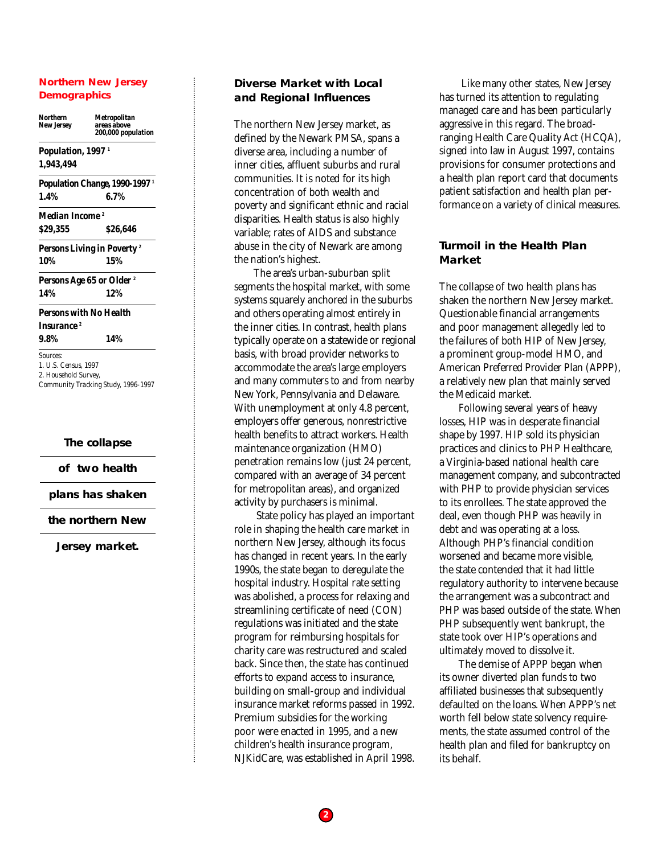#### **Northern New Jersey Demographics**

*Northern Metropolitan* 

*New Jersey areas above 200,000 population*

*Population, 1997 1 1,943,494*

*Population Change, 1990-1997 1 1.4% 6.7%*

*Median Income 2 \$29,355 \$26,646*

*Persons Living in Poverty 2 10% 15%*

*Persons Age 65 or Older 2 14% 12%*

*Persons with No Health Insurance 2 9.8% 14%*

*Sources: 1. U.S. Census, 1997*

*2. Household Survey, Community Tracking Study, 1996-1997*

#### **The collapse**

#### **of two health**

#### **plans has shaken**

#### **the northern New**

**Jersey market.**

### **Diverse Market with Local and Regional Influences**

The northern New Jersey market, as defined by the Newark PMSA, spans a diverse area, including a number of inner cities, affluent suburbs and rural communities. It is noted for its high concentration of both wealth and poverty and significant ethnic and racial disparities. Health status is also highly variable; rates of AIDS and substance abuse in the city of Newark are among the nation's highest.

The area's urban-suburban split segments the hospital market, with some systems squarely anchored in the suburbs and others operating almost entirely in the inner cities. In contrast, health plans typically operate on a statewide or regional basis, with broad provider networks to accommodate the area's large employers and many commuters to and from nearby New York, Pennsylvania and Delaware. With unemployment at only 4.8 percent, employers offer generous, nonrestrictive health benefits to attract workers. Health maintenance organization (HMO) penetration remains low (just 24 percent, compared with an average of 34 percent for metropolitan areas), and organized activity by purchasers is minimal.

State policy has played an important role in shaping the health care market in northern New Jersey, although its focus has changed in recent years. In the early 1990s, the state began to deregulate the hospital industry. Hospital rate setting was abolished, a process for relaxing and streamlining certificate of need (CON) regulations was initiated and the state program for reimbursing hospitals for charity care was restructured and scaled back. Since then, the state has continued efforts to expand access to insurance, building on small-group and individual insurance market reforms passed in 1992. Premium subsidies for the working poor were enacted in 1995, and a new children's health insurance program, NJKidCare, was established in April 1998.

Like many other states, New Jersey has turned its attention to regulating managed care and has been particularly aggressive in this regard. The broadranging Health Care Quality Act (HCQA), signed into law in August 1997, contains provisions for consumer protections and a health plan report card that documents patient satisfaction and health plan performance on a variety of clinical measures.

#### **Turmoil in the Health Plan Market**

The collapse of two health plans has shaken the northern New Jersey market. Questionable financial arrangements and poor management allegedly led to the failures of both HIP of New Jersey, a prominent group-model HMO, and American Preferred Provider Plan (APPP), a relatively new plan that mainly served the Medicaid market.

Following several years of heavy losses, HIP was in desperate financial shape by 1997. HIP sold its physician practices and clinics to PHP Healthcare, a Virginia-based national health care management company, and subcontracted with PHP to provide physician services to its enrollees. The state approved the deal, even though PHP was heavily in debt and was operating at a loss. Although PHP's financial condition worsened and became more visible, the state contended that it had little regulatory authority to intervene because the arrangement was a subcontract and PHP was based outside of the state. When PHP subsequently went bankrupt, the state took over HIP's operations and ultimately moved to dissolve it.

The demise of APPP began when its owner diverted plan funds to two affiliated businesses that subsequently defaulted on the loans. When APPP's net worth fell below state solvency requirements, the state assumed control of the health plan and filed for bankruptcy on its behalf.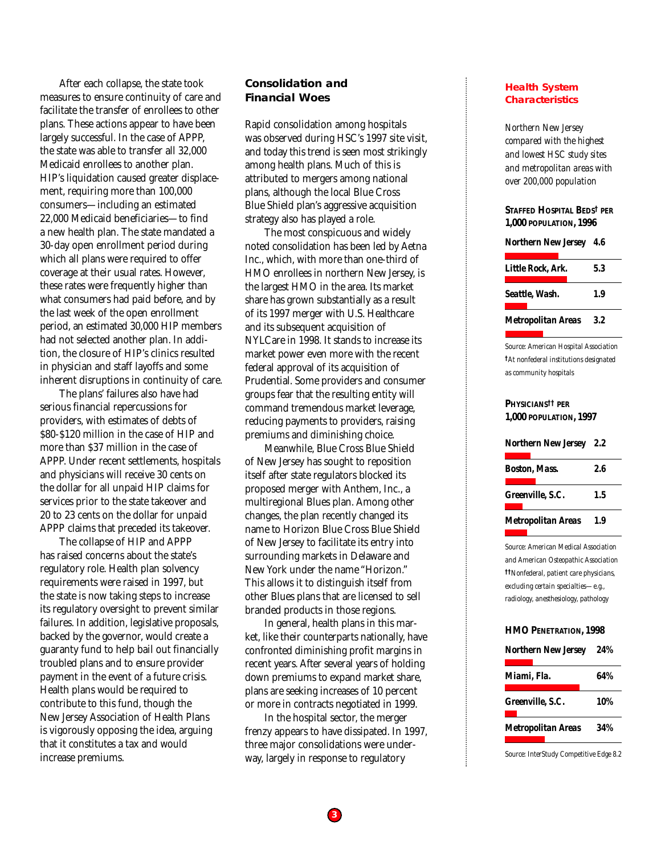After each collapse, the state took measures to ensure continuity of care and facilitate the transfer of enrollees to other plans. These actions appear to have been largely successful. In the case of APPP, the state was able to transfer all 32,000 Medicaid enrollees to another plan. HIP's liquidation caused greater displacement, requiring more than 100,000 consumers—including an estimated 22,000 Medicaid beneficiaries—to find a new health plan. The state mandated a 30-day open enrollment period during which all plans were required to offer coverage at their usual rates. However, these rates were frequently higher than what consumers had paid before, and by the last week of the open enrollment period, an estimated 30,000 HIP members had not selected another plan. In addition, the closure of HIP's clinics resulted in physician and staff layoffs and some inherent disruptions in continuity of care.

The plans' failures also have had serious financial repercussions for providers, with estimates of debts of \$80-\$120 million in the case of HIP and more than \$37 million in the case of APPP. Under recent settlements, hospitals and physicians will receive 30 cents on the dollar for all unpaid HIP claims for services prior to the state takeover and 20 to 23 cents on the dollar for unpaid APPP claims that preceded its takeover.

The collapse of HIP and APPP has raised concerns about the state's regulatory role. Health plan solvency requirements were raised in 1997, but the state is now taking steps to increase its regulatory oversight to prevent similar failures. In addition, legislative proposals, backed by the governor, would create a guaranty fund to help bail out financially troubled plans and to ensure provider payment in the event of a future crisis. Health plans would be required to contribute to this fund, though the New Jersey Association of Health Plans is vigorously opposing the idea, arguing that it constitutes a tax and would increase premiums.

#### **Consolidation and Financial Woes**

Rapid consolidation among hospitals was observed during HSC's 1997 site visit, and today this trend is seen most strikingly among health plans. Much of this is attributed to mergers among national plans, although the local Blue Cross Blue Shield plan's aggressive acquisition strategy also has played a role.

The most conspicuous and widely noted consolidation has been led by Aetna Inc., which, with more than one-third of HMO enrollees in northern New Jersey, is the largest HMO in the area. Its market share has grown substantially as a result of its 1997 merger with U.S. Healthcare and its subsequent acquisition of NYLCare in 1998. It stands to increase its market power even more with the recent federal approval of its acquisition of Prudential. Some providers and consumer groups fear that the resulting entity will command tremendous market leverage, reducing payments to providers, raising premiums and diminishing choice.

Meanwhile, Blue Cross Blue Shield of New Jersey has sought to reposition itself after state regulators blocked its proposed merger with Anthem, Inc., a multiregional Blues plan. Among other changes, the plan recently changed its name to Horizon Blue Cross Blue Shield of New Jersey to facilitate its entry into surrounding markets in Delaware and New York under the name "Horizon." This allows it to distinguish itself from other Blues plans that are licensed to sell branded products in those regions.

In general, health plans in this market, like their counterparts nationally, have confronted diminishing profit margins in recent years. After several years of holding down premiums to expand market share, plans are seeking increases of 10 percent or more in contracts negotiated in 1999.

In the hospital sector, the merger frenzy appears to have dissipated. In 1997, three major consolidations were underway, largely in response to regulatory

#### **Health System Characteristics**

*Northern New Jersey compared with the highest and lowest HSC study sites and metropolitan areas with over 200,000 population*

#### **STAFFED HOSPITAL BEDS† PER 1,000 POPULATION, 1996**

*Northern New Jersey 4.6*

| Little Rock, Ark.         | 53  |  |  |
|---------------------------|-----|--|--|
| Seattle. Wash.            | 19  |  |  |
| <b>Metropolitan Areas</b> | 3.2 |  |  |

*Source: American Hospital Association* **†***At nonfederal institutions designated as community hospitals*

#### **PHYSICIANS†† PER 1,000 POPULATION, 1997**

#### *Northern New Jersey 2.2*

| <b>Boston, Mass.</b>      | 26      |
|---------------------------|---------|
| <i>Greenville, S.C.</i>   | $1.5\,$ |
| <b>Metropolitan Areas</b> | 1.9     |

*Source: American Medical Association and American Osteopathic Association* **††***Nonfederal, patient care physicians, excluding certain specialties—e.g., radiology, anesthesiology, pathology* 

#### **HMO PENETRATION, 1998**

| <b>Northern New Jersey</b> 24% |     |
|--------------------------------|-----|
| Miami. Fla.                    | 64% |
| Greenville, S.C.               | 10% |
| <b>Metropolitan Areas</b>      | 34% |

*Source: InterStudy Competitive Edge 8.2*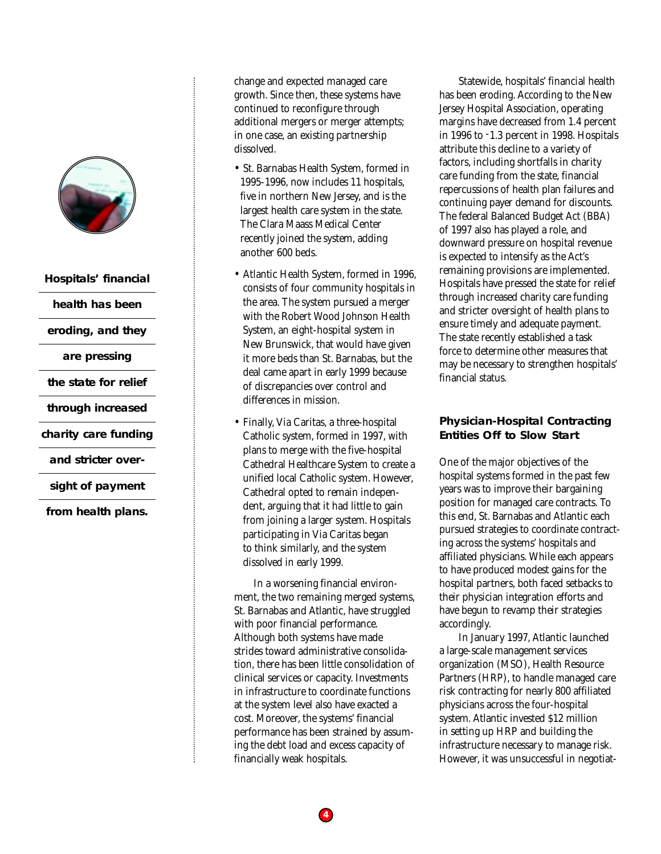

#### **Hospitals' financial**

**health has been** 

**eroding, and they** 

#### **are pressing**

**the state for relief** 

#### **through increased**

**charity care funding** 

#### **and stricter over-**

**sight of payment** 

#### **from health plans.**

change and expected managed care growth. Since then, these systems have continued to reconfigure through additional mergers or merger attempts; in one case, an existing partnership dissolved.

- St. Barnabas Health System, formed in 1995-1996, now includes 11 hospitals, five in northern New Jersey, and is the largest health care system in the state. The Clara Maass Medical Center recently joined the system, adding another 600 beds.
- Atlantic Health System, formed in 1996, consists of four community hospitals in the area. The system pursued a merger with the Robert Wood Johnson Health System, an eight-hospital system in New Brunswick, that would have given it more beds than St. Barnabas, but the deal came apart in early 1999 because of discrepancies over control and differences in mission.
- Finally, Via Caritas, a three-hospital Catholic system, formed in 1997, with plans to merge with the five-hospital Cathedral Healthcare System to create a unified local Catholic system. However, Cathedral opted to remain independent, arguing that it had little to gain from joining a larger system. Hospitals participating in Via Caritas began to think similarly, and the system dissolved in early 1999.

In a worsening financial environment, the two remaining merged systems, St. Barnabas and Atlantic, have struggled with poor financial performance. Although both systems have made strides toward administrative consolidation, there has been little consolidation of clinical services or capacity. Investments in infrastructure to coordinate functions at the system level also have exacted a cost. Moreover, the systems' financial performance has been strained by assuming the debt load and excess capacity of financially weak hospitals.

Statewide, hospitals' financial health has been eroding. According to the New Jersey Hospital Association, operating margins have decreased from 1.4 percent in 1996 to -1.3 percent in 1998. Hospitals attribute this decline to a variety of factors, including shortfalls in charity care funding from the state, financial repercussions of health plan failures and continuing payer demand for discounts. The federal Balanced Budget Act (BBA) of 1997 also has played a role, and downward pressure on hospital revenue is expected to intensify as the Act's remaining provisions are implemented. Hospitals have pressed the state for relief through increased charity care funding and stricter oversight of health plans to ensure timely and adequate payment. The state recently established a task force to determine other measures that may be necessary to strengthen hospitals' financial status.

#### **Physician-Hospital Contracting Entities Off to Slow Start**

One of the major objectives of the hospital systems formed in the past few years was to improve their bargaining position for managed care contracts. To this end, St. Barnabas and Atlantic each pursued strategies to coordinate contracting across the systems' hospitals and affiliated physicians. While each appears to have produced modest gains for the hospital partners, both faced setbacks to their physician integration efforts and have begun to revamp their strategies accordingly.

In January 1997, Atlantic launched a large-scale management services organization (MSO), Health Resource Partners (HRP), to handle managed care risk contracting for nearly 800 affiliated physicians across the four-hospital system. Atlantic invested \$12 million in setting up HRP and building the infrastructure necessary to manage risk. However, it was unsuccessful in negotiat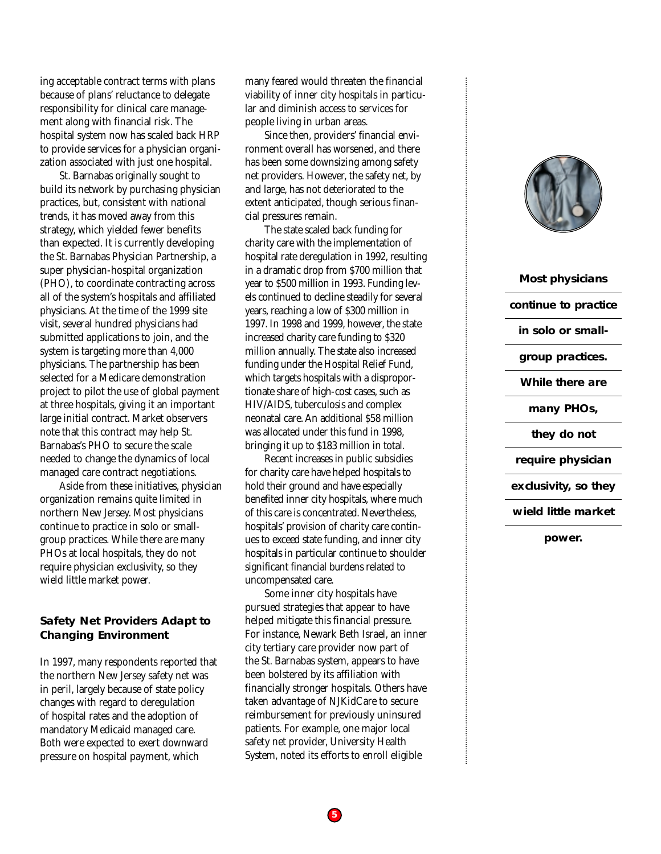ing acceptable contract terms with plans because of plans' reluctance to delegate responsibility for clinical care management along with financial risk. The hospital system now has scaled back HRP to provide services for a physician organization associated with just one hospital.

St. Barnabas originally sought to build its network by purchasing physician practices, but, consistent with national trends, it has moved away from this strategy, which yielded fewer benefits than expected. It is currently developing the St. Barnabas Physician Partnership, a super physician-hospital organization (PHO), to coordinate contracting across all of the system's hospitals and affiliated physicians. At the time of the 1999 site visit, several hundred physicians had submitted applications to join, and the system is targeting more than 4,000 physicians. The partnership has been selected for a Medicare demonstration project to pilot the use of global payment at three hospitals, giving it an important large initial contract. Market observers note that this contract may help St. Barnabas's PHO to secure the scale needed to change the dynamics of local managed care contract negotiations.

Aside from these initiatives, physician organization remains quite limited in northern New Jersey. Most physicians continue to practice in solo or smallgroup practices. While there are many PHOs at local hospitals, they do not require physician exclusivity, so they wield little market power.

#### **Safety Net Providers Adapt to Changing Environment**

In 1997, many respondents reported that the northern New Jersey safety net was in peril, largely because of state policy changes with regard to deregulation of hospital rates and the adoption of mandatory Medicaid managed care. Both were expected to exert downward pressure on hospital payment, which

many feared would threaten the financial viability of inner city hospitals in particular and diminish access to services for people living in urban areas.

Since then, providers' financial environment overall has worsened, and there has been some downsizing among safety net providers. However, the safety net, by and large, has not deteriorated to the extent anticipated, though serious financial pressures remain.

The state scaled back funding for charity care with the implementation of hospital rate deregulation in 1992, resulting in a dramatic drop from \$700 million that year to \$500 million in 1993. Funding levels continued to decline steadily for several years, reaching a low of \$300 million in 1997. In 1998 and 1999, however, the state increased charity care funding to \$320 million annually. The state also increased funding under the Hospital Relief Fund, which targets hospitals with a disproportionate share of high-cost cases, such as HIV/AIDS, tuberculosis and complex neonatal care. An additional \$58 million was allocated under this fund in 1998, bringing it up to \$183 million in total.

Recent increases in public subsidies for charity care have helped hospitals to hold their ground and have especially benefited inner city hospitals, where much of this care is concentrated. Nevertheless, hospitals' provision of charity care continues to exceed state funding, and inner city hospitals in particular continue to shoulder significant financial burdens related to uncompensated care.

Some inner city hospitals have pursued strategies that appear to have helped mitigate this financial pressure. For instance, Newark Beth Israel, an inner city tertiary care provider now part of the St. Barnabas system, appears to have been bolstered by its affiliation with financially stronger hospitals. Others have taken advantage of NJKidCare to secure reimbursement for previously uninsured patients. For example, one major local safety net provider, University Health System, noted its efforts to enroll eligible



**Most physicians continue to practice in solo or smallgroup practices. While there are many PHOs, they do not require physician exclusivity, so they** 

**wield little market** 

**power.**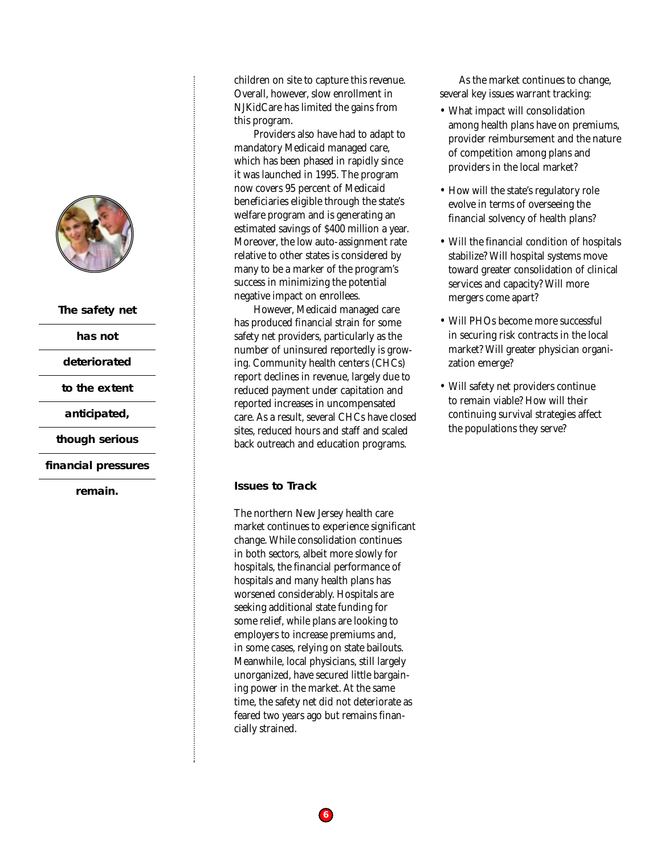

#### **The safety net**

#### **has not**

#### **deteriorated**

#### **to the extent**

#### **anticipated,**

#### **though serious**

#### **financial pressures**

**remain.**

children on site to capture this revenue. Overall, however, slow enrollment in NJKidCare has limited the gains from this program.

Providers also have had to adapt to mandatory Medicaid managed care, which has been phased in rapidly since it was launched in 1995. The program now covers 95 percent of Medicaid beneficiaries eligible through the state's welfare program and is generating an estimated savings of \$400 million a year. Moreover, the low auto-assignment rate relative to other states is considered by many to be a marker of the program's success in minimizing the potential negative impact on enrollees.

However, Medicaid managed care has produced financial strain for some safety net providers, particularly as the number of uninsured reportedly is growing. Community health centers (CHCs) report declines in revenue, largely due to reduced payment under capitation and reported increases in uncompensated care. As a result, several CHCs have closed sites, reduced hours and staff and scaled back outreach and education programs.

#### **Issues to Track**

The northern New Jersey health care market continues to experience significant change. While consolidation continues in both sectors, albeit more slowly for hospitals, the financial performance of hospitals and many health plans has worsened considerably. Hospitals are seeking additional state funding for some relief, while plans are looking to employers to increase premiums and, in some cases, relying on state bailouts. Meanwhile, local physicians, still largely unorganized, have secured little bargaining power in the market. At the same time, the safety net did not deteriorate as feared two years ago but remains financially strained.

As the market continues to change, several key issues warrant tracking:

- What impact will consolidation among health plans have on premiums, provider reimbursement and the nature of competition among plans and providers in the local market?
- How will the state's regulatory role evolve in terms of overseeing the financial solvency of health plans?
- Will the financial condition of hospitals stabilize? Will hospital systems move toward greater consolidation of clinical services and capacity? Will more mergers come apart?
- Will PHOs become more successful in securing risk contracts in the local market? Will greater physician organization emerge?
- Will safety net providers continue to remain viable? How will their continuing survival strategies affect the populations they serve?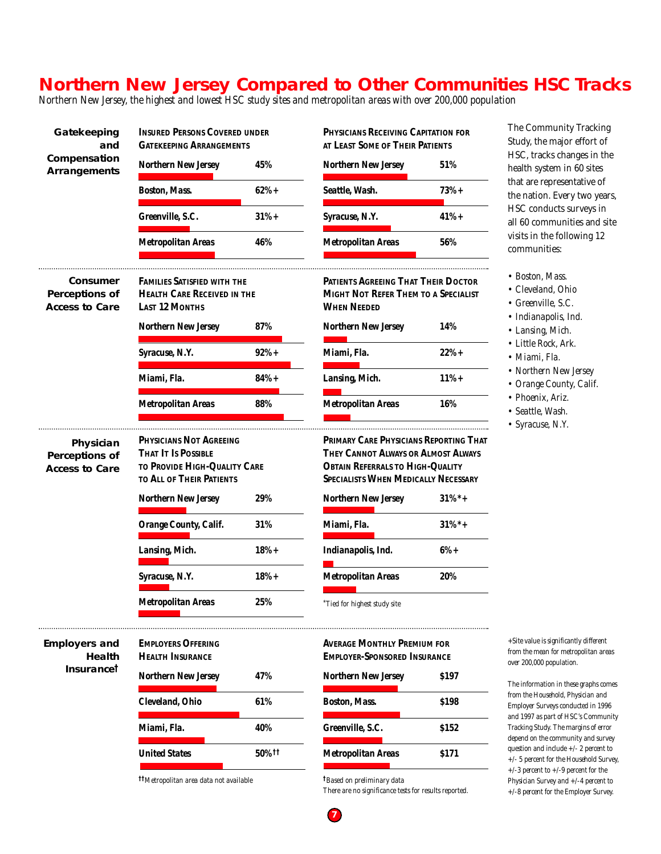## **Northern New Jersey Compared to Other Communities HSC Tracks**

*Northern New Jersey, the highest and lowest HSC study sites and metropolitan areas with over 200,000 population*

| Gatekeeping<br>and                                         | <b>INSURED PERSONS COVERED UNDER</b><br><b>GATEKEEPING ARRANGEMENTS</b>                                           |                      | PHYSICIANS RECEIVING CAPITATION FOR<br>AT LEAST SOME OF THEIR PATIENTS                                                                                           |                       | The Community<br>Study, the major                                                   |
|------------------------------------------------------------|-------------------------------------------------------------------------------------------------------------------|----------------------|------------------------------------------------------------------------------------------------------------------------------------------------------------------|-----------------------|-------------------------------------------------------------------------------------|
| Compensation<br><b>Arrangements</b>                        | <b>Northern New Jersey</b>                                                                                        | 45%                  | <b>Northern New Jersey</b>                                                                                                                                       | 51%                   | HSC, tracks chan<br>health system in 6                                              |
|                                                            | <b>Boston, Mass.</b>                                                                                              | $62% +$              | Seattle, Wash.                                                                                                                                                   | $73% +$               | that are represent<br>the nation. Every                                             |
|                                                            | Greenville, S.C.                                                                                                  | $31% +$              | Syracuse, N.Y.                                                                                                                                                   | $41% +$               | HSC conducts su<br>all 60 communiti                                                 |
|                                                            | <b>Metropolitan Areas</b>                                                                                         | 46%                  | <b>Metropolitan Areas</b>                                                                                                                                        | 56%                   | visits in the follow<br>communities:                                                |
| <b>Consumer</b><br>Perceptions of<br><b>Access to Care</b> | <b>FAMILIES SATISFIED WITH THE</b><br><b>HEALTH CARE RECEIVED IN THE</b><br><b>LAST 12 MONTHS</b>                 |                      | PATIENTS AGREEING THAT THEIR DOCTOR<br>MIGHT NOT REFER THEM TO A SPECIALIST<br><b>WHEN NEEDED</b>                                                                |                       | • Boston, Mass.<br>• Cleveland, Ohio<br>• Greenville, S.C.                          |
|                                                            | <b>Northern New Jersey</b>                                                                                        | 87%                  | <b>Northern New Jersey</b>                                                                                                                                       | 14%                   | • Indianapolis, In<br>• Lansing, Mich.                                              |
|                                                            | Syracuse, N.Y.                                                                                                    | $92% +$              | Miami, Fla.                                                                                                                                                      | $22% +$               | • Little Rock, Ark.<br>• Miami, Fla.                                                |
|                                                            | Miami, Fla.                                                                                                       | $84\% +$             | Lansing, Mich.                                                                                                                                                   | $11\% +$              | • Northern New J<br>• Orange County,                                                |
|                                                            | <b>Metropolitan Areas</b>                                                                                         | 88%                  | <b>Metropolitan Areas</b>                                                                                                                                        | 16%                   | • Phoenix, Ariz.<br>• Seattle, Wash.<br>• Syracuse, N.Y.                            |
| Physician<br>Perceptions of<br><b>Access to Care</b>       | PHYSICIANS NOT AGREEING<br>THAT IT IS POSSIBLE<br>TO PROVIDE HIGH-QUALITY CARE<br><b>TO ALL OF THEIR PATIENTS</b> |                      | PRIMARY CARE PHYSICIANS REPORTING THAT<br>THEY CANNOT ALWAYS OR ALMOST ALWAYS<br>OBTAIN REFERRALS TO HIGH-QUALITY<br><b>SPECIALISTS WHEN MEDICALLY NECESSARY</b> |                       |                                                                                     |
|                                                            | <b>Northern New Jersey</b>                                                                                        | 29%                  | <b>Northern New Jersey</b>                                                                                                                                       | $31\%$ <sup>*</sup> + |                                                                                     |
|                                                            | <b>Orange County, Calif.</b>                                                                                      | 31%                  | Miami, Fla.                                                                                                                                                      | $31\%$ <sup>*</sup> + |                                                                                     |
|                                                            | Lansing, Mich.                                                                                                    | $18% +$              | Indianapolis, Ind.                                                                                                                                               | $6\% +$               |                                                                                     |
|                                                            | Syracuse, N.Y.                                                                                                    | $18% +$              | <b>Metropolitan Areas</b>                                                                                                                                        | 20%                   |                                                                                     |
|                                                            | <b>Metropolitan Areas</b>                                                                                         | 25%                  | *Tied for highest study site                                                                                                                                     |                       |                                                                                     |
| <b>Employers and</b><br><b>Health</b><br>Insurancet        | <b>EMPLOYERS OFFERING</b><br><b>HEALTH INSURANCE</b>                                                              |                      | <b>AVERAGE MONTHLY PREMIUM FOR</b><br><b>EMPLOYER-SPONSORED INSURANCE</b>                                                                                        |                       | $+$ Site value is significant<br>from the mean for metro<br>over 200,000 population |
|                                                            | <b>Northern New Jersey</b>                                                                                        | 47%                  | <b>Northern New Jersey</b>                                                                                                                                       | S197                  | The information in these                                                            |
|                                                            | Cleveland, Ohio                                                                                                   | 61%                  | <b>Boston, Mass.</b>                                                                                                                                             | \$198                 | from the Household, Phy<br><b>Employer Surveys condu</b>                            |
|                                                            | Miami, Fla.                                                                                                       | 40%                  | Greenville, S.C.                                                                                                                                                 | \$152                 | and 1997 as part of HSO<br>Tracking Study. The ma.<br>depend on the communi         |
|                                                            | <b>United States</b>                                                                                              | $50\%$ <sup>††</sup> | <b>Metropolitan Areas</b>                                                                                                                                        | \$171                 | question and include $+$ /                                                          |

**††***Metropolitan area data not available*

**†***Based on preliminary data There are no significance tests for results reported.* Community Tracking effort of ges in the 60 sites ative of two years, rveys in es and site  $\n *wing* 12\n$ 

- 
- 
- *Indianapolis, Ind.*
- *Northern New Jersey*
- *Orange County, Calif.*

*+Site value is significantly different from the mean for metropolitan areas over 200,000 population.*

*The information in these graphs comes from the Household, Physician and Employer Surveys conducted in 1996 and 1997 as part of HSC's Community Tracking Study. The margins of error depend on the community and survey question and include +/- 2 percent to +/- 5 percent for the Household Survey, +/-3 percent to +/-9 percent for the Physician Survey and +/-4 percent to +/-8 percent for the Employer Survey.*

**7**